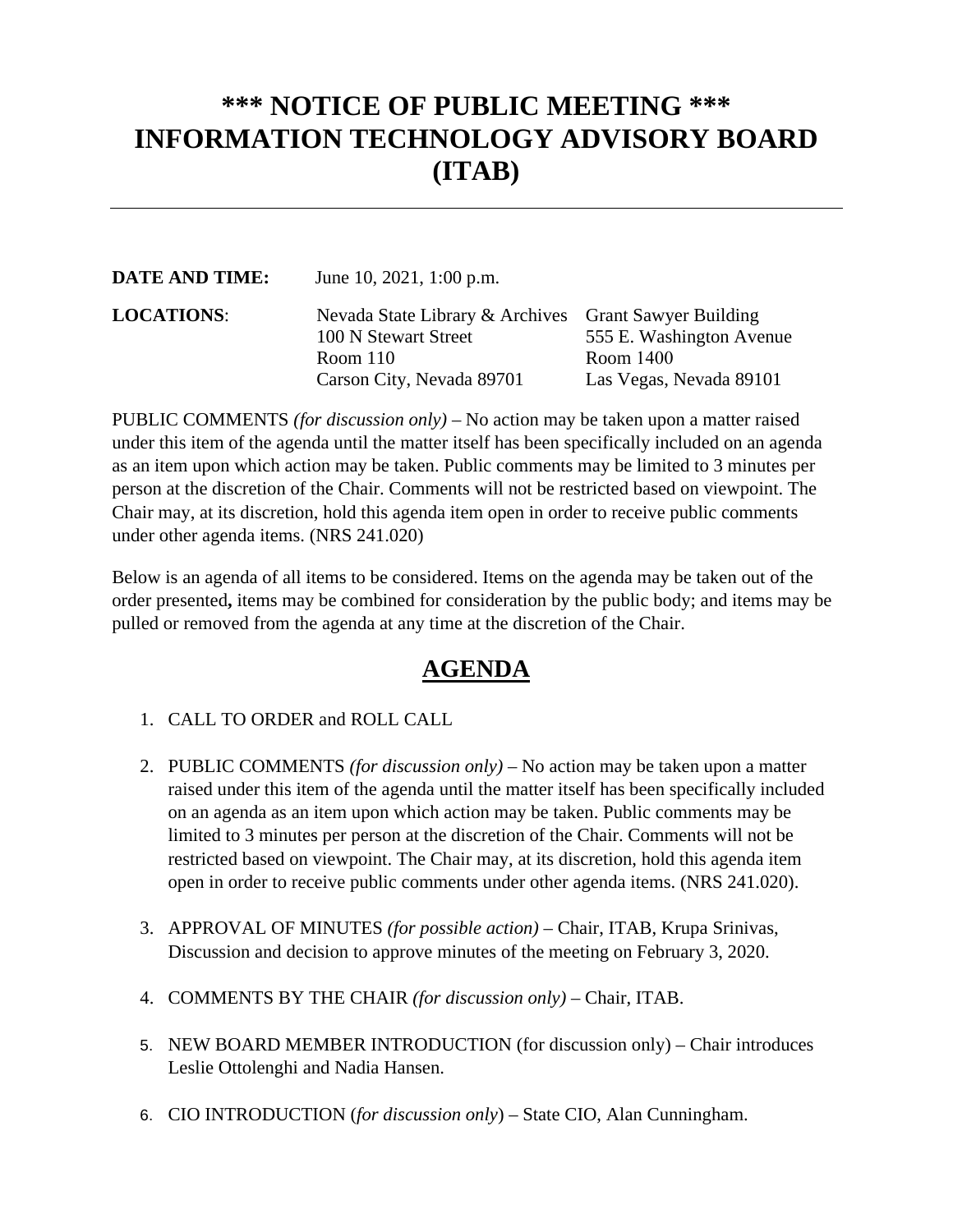## **\*\*\* NOTICE OF PUBLIC MEETING \*\*\* INFORMATION TECHNOLOGY ADVISORY BOARD (ITAB)**

| <b>DATE AND TIME:</b> | June 10, 2021, 1:00 p.m.                                                      |                          |
|-----------------------|-------------------------------------------------------------------------------|--------------------------|
| <b>LOCATIONS:</b>     | Nevada State Library & Archives Grant Sawyer Building<br>100 N Stewart Street | 555 E. Washington Avenue |
|                       | Room $110$                                                                    | Room 1400                |
|                       | Carson City, Nevada 89701                                                     | Las Vegas, Nevada 89101  |

PUBLIC COMMENTS *(for discussion only)* – No action may be taken upon a matter raised under this item of the agenda until the matter itself has been specifically included on an agenda as an item upon which action may be taken. Public comments may be limited to 3 minutes per person at the discretion of the Chair. Comments will not be restricted based on viewpoint. The Chair may, at its discretion, hold this agenda item open in order to receive public comments under other agenda items. (NRS 241.020)

Below is an agenda of all items to be considered. Items on the agenda may be taken out of the order presented**,** items may be combined for consideration by the public body; and items may be pulled or removed from the agenda at any time at the discretion of the Chair.

## **AGENDA**

- 1. CALL TO ORDER and ROLL CALL
- 2. PUBLIC COMMENTS *(for discussion only)*  No action may be taken upon a matter raised under this item of the agenda until the matter itself has been specifically included on an agenda as an item upon which action may be taken. Public comments may be limited to 3 minutes per person at the discretion of the Chair. Comments will not be restricted based on viewpoint. The Chair may, at its discretion, hold this agenda item open in order to receive public comments under other agenda items. (NRS 241.020).
- 3. APPROVAL OF MINUTES *(for possible action)*  Chair, ITAB, Krupa Srinivas, Discussion and decision to approve minutes of the meeting on February 3, 2020.
- 4. COMMENTS BY THE CHAIR *(for discussion only)*  Chair, ITAB.
- 5. NEW BOARD MEMBER INTRODUCTION (for discussion only) Chair introduces Leslie Ottolenghi and Nadia Hansen.
- 6. CIO INTRODUCTION (*for discussion only*) State CIO, Alan Cunningham.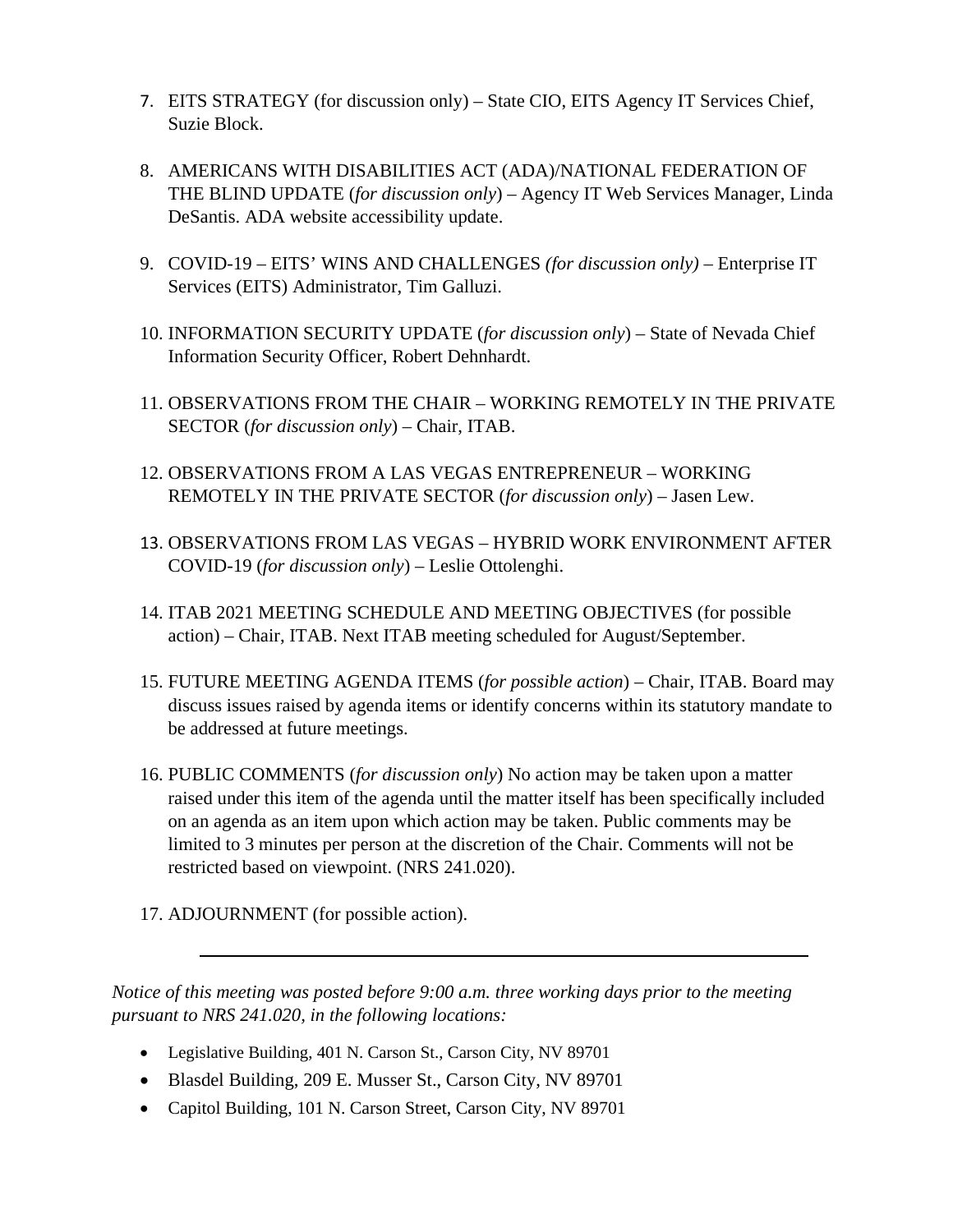- 7. EITS STRATEGY (for discussion only) State CIO, EITS Agency IT Services Chief, Suzie Block.
- 8. AMERICANS WITH DISABILITIES ACT (ADA)/NATIONAL FEDERATION OF THE BLIND UPDATE (*for discussion only*) – Agency IT Web Services Manager, Linda DeSantis. ADA website accessibility update.
- 9. COVID-19 EITS' WINS AND CHALLENGES *(for discussion only)*  Enterprise IT Services (EITS) Administrator, Tim Galluzi.
- 10. INFORMATION SECURITY UPDATE (*for discussion only*) State of Nevada Chief Information Security Officer, Robert Dehnhardt.
- 11. OBSERVATIONS FROM THE CHAIR WORKING REMOTELY IN THE PRIVATE SECTOR (*for discussion only*) – Chair, ITAB.
- 12. OBSERVATIONS FROM A LAS VEGAS ENTREPRENEUR WORKING REMOTELY IN THE PRIVATE SECTOR (*for discussion only*) – Jasen Lew.
- 13. OBSERVATIONS FROM LAS VEGAS HYBRID WORK ENVIRONMENT AFTER COVID-19 (*for discussion only*) – Leslie Ottolenghi.
- 14. ITAB 2021 MEETING SCHEDULE AND MEETING OBJECTIVES (for possible action) – Chair, ITAB. Next ITAB meeting scheduled for August/September.
- 15. FUTURE MEETING AGENDA ITEMS (*for possible action*) Chair, ITAB. Board may discuss issues raised by agenda items or identify concerns within its statutory mandate to be addressed at future meetings.
- 16. PUBLIC COMMENTS (*for discussion only*) No action may be taken upon a matter raised under this item of the agenda until the matter itself has been specifically included on an agenda as an item upon which action may be taken. Public comments may be limited to 3 minutes per person at the discretion of the Chair. Comments will not be restricted based on viewpoint. (NRS 241.020).
- 17. ADJOURNMENT (for possible action).

*Notice of this meeting was posted before 9:00 a.m. three working days prior to the meeting pursuant to NRS 241.020, in the following locations:* 

- Legislative Building, 401 N. Carson St., Carson City, NV 89701
- Blasdel Building, 209 E. Musser St., Carson City, NV 89701
- Capitol Building, 101 N. Carson Street, Carson City, NV 89701